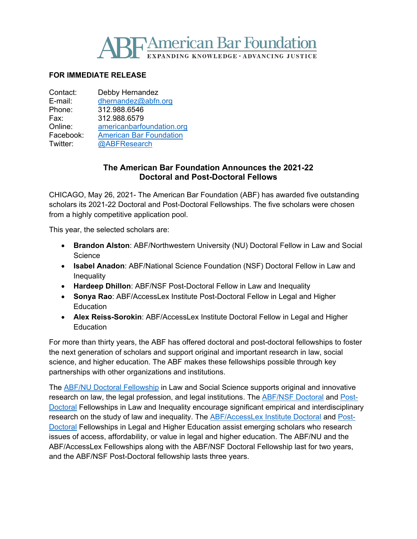

## **FOR IMMEDIATE RELEASE**

| Contact:  | Debby Hernandez                |
|-----------|--------------------------------|
| E-mail:   | dhernandez@abfn.org            |
| Phone:    | 312.988.6546                   |
| Fax:      | 312.988.6579                   |
| Online:   | americanbarfoundation.org      |
| Facebook: | <b>American Bar Foundation</b> |
| Twitter:  | @ABFResearch                   |
|           |                                |

## **The American Bar Foundation Announces the 2021-22 Doctoral and Post-Doctoral Fellows**

CHICAGO, May 26, 2021- The American Bar Foundation (ABF) has awarded five outstanding scholars its 2021-22 Doctoral and Post-Doctoral Fellowships. The five scholars were chosen from a highly competitive application pool.

This year, the selected scholars are:

- **Brandon Alston**: ABF/Northwestern University (NU) Doctoral Fellow in Law and Social **Science**
- **Isabel Anadon**: ABF/National Science Foundation (NSF) Doctoral Fellow in Law and **Inequality**
- **Hardeep Dhillon**: ABF/NSF Post-Doctoral Fellow in Law and Inequality
- **Sonya Rao**: ABF/AccessLex Institute Post-Doctoral Fellow in Legal and Higher **Education**
- **Alex Reiss-Sorokin**: ABF/AccessLex Institute Doctoral Fellow in Legal and Higher **Education**

For more than thirty years, the ABF has offered doctoral and post-doctoral fellowships to foster the next generation of scholars and support original and important research in law, social science, and higher education. The ABF makes these fellowships possible through key partnerships with other organizations and institutions.

The [ABF/NU Doctoral Fellowship](http://www.americanbarfoundation.org/research/Fellowshipopportunities/ABF_Northwestern_University_Doctoral_Fellowship_Program.html) in Law and Social Science supports original and innovative research on law, the legal profession, and legal institutions. The [ABF/NSF Doctoral](http://www.americanbarfoundation.org/research/Fellowshipopportunities/LawAndInequalityFellowshipsProgram.html) and [Post-](http://www.americanbarfoundation.org/research/Fellowshipopportunities/ABF_National_Science_Foundation_Postdoctoral_Fellowship_Program_in_Law_and_Inequality.html)[Doctoral](http://www.americanbarfoundation.org/research/Fellowshipopportunities/ABF_National_Science_Foundation_Postdoctoral_Fellowship_Program_in_Law_and_Inequality.html) Fellowships in Law and Inequality encourage significant empirical and interdisciplinary research on the study of law and inequality. The [ABF/AccessLex Institute Doctoral](http://www.americanbarfoundation.org/research/Fellowshipopportunities/ABF_AccessLex_Institute_Doctoral_Fellowship_Program_in_Legal___Higher_Education.html) and [Post-](http://www.americanbarfoundation.org/research/Fellowshipopportunities/ABF_AccessLex_Institute_Postdoctoral_Fellowship_Program_in_Legal___Higher_Education.html)[Doctoral](http://www.americanbarfoundation.org/research/Fellowshipopportunities/ABF_AccessLex_Institute_Postdoctoral_Fellowship_Program_in_Legal___Higher_Education.html) Fellowships in Legal and Higher Education assist emerging scholars who research issues of access, affordability, or value in legal and higher education. The ABF/NU and the ABF/AccessLex Fellowships along with the ABF/NSF Doctoral Fellowship last for two years, and the ABF/NSF Post-Doctoral fellowship lasts three years.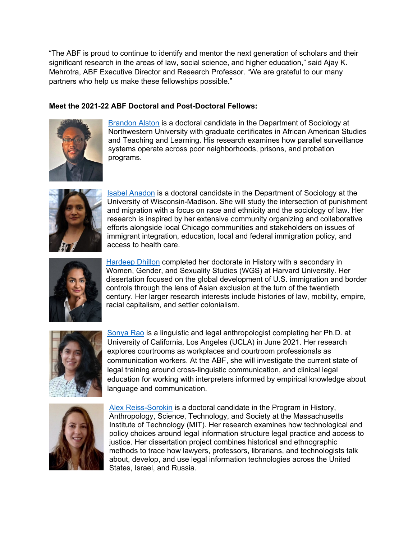"The ABF is proud to continue to identify and mentor the next generation of scholars and their significant research in the areas of law, social science, and higher education," said Ajay K. Mehrotra, ABF Executive Director and Research Professor. "We are grateful to our many partners who help us make these fellowships possible."

## **Meet the 2021-22 ABF Doctoral and Post-Doctoral Fellows:**



[Brandon Alston](https://sociology.northwestern.edu/people/graduate-students/profiles/brandon-alston.html) is a doctoral candidate in the Department of Sociology at Northwestern University with graduate certificates in African American Studies and Teaching and Learning. His research examines how parallel surveillance systems operate across poor neighborhoods, prisons, and probation programs.



[Isabel Anadon](https://sociology.wisc.edu/staff/anadon-isabel/) is a doctoral candidate in the Department of Sociology at the University of Wisconsin-Madison. She will study the intersection of punishment and migration with a focus on race and ethnicity and the sociology of law. Her research is inspired by her extensive community organizing and collaborative efforts alongside local Chicago communities and stakeholders on issues of immigrant integration, education, local and federal immigration policy, and access to health care.



[Hardeep Dhillon](https://www.saada.org/council) completed her doctorate in History with a secondary in Women, Gender, and Sexuality Studies (WGS) at Harvard University. Her dissertation focused on the global development of U.S. immigration and border controls through the lens of Asian exclusion at the turn of the twentieth century. Her larger research interests include histories of law, mobility, empire, racial capitalism, and settler colonialism.



[Sonya Rao](http://www.sonyarao.net/) is a linguistic and legal anthropologist completing her Ph.D. at University of California, Los Angeles (UCLA) in June 2021. Her research explores courtrooms as workplaces and courtroom professionals as communication workers. At the ABF, she will investigate the current state of legal training around cross-linguistic communication, and clinical legal education for working with interpreters informed by empirical knowledge about language and communication.



[Alex Reiss-Sorokin](http://web.mit.edu/hasts/graduate/reiss_sorokin.html) is a doctoral candidate in the Program in History, Anthropology, Science, Technology, and Society at the Massachusetts Institute of Technology (MIT). Her research examines how technological and policy choices around legal information structure legal practice and access to justice. Her dissertation project combines historical and ethnographic methods to trace how lawyers, professors, librarians, and technologists talk about, develop, and use legal information technologies across the United States, Israel, and Russia.